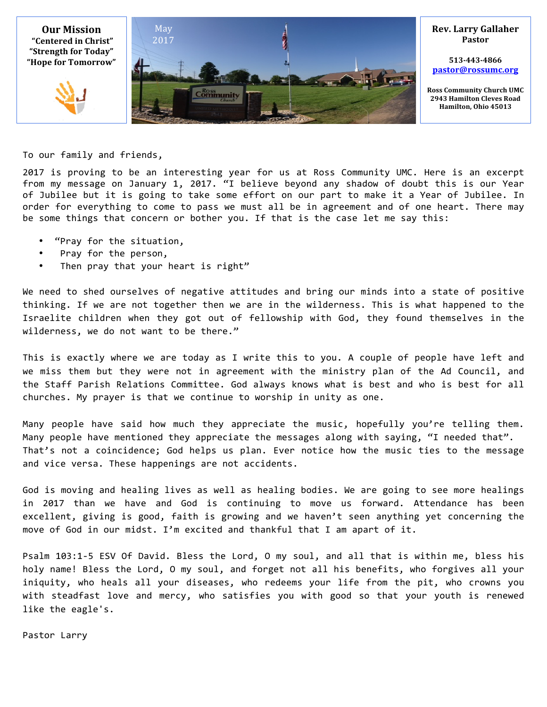

To our family and friends,

2017 is proving to be an interesting year for us at Ross Community UMC. Here is an excerpt from my message on January 1, 2017. "I believe beyond any shadow of doubt this is our Year of Jubilee but it is going to take some effort on our part to make it a Year of Jubilee. In order for everything to come to pass we must all be in agreement and of one heart. There may be some things that concern or bother you. If that is the case let me say this:

- "Pray for the situation,
- Pray for the person,
- Then pray that your heart is right"

We need to shed ourselves of negative attitudes and bring our minds into a state of positive thinking. If we are not together then we are in the wilderness. This is what happened to the Israelite children when they got out of fellowship with God, they found themselves in the wilderness, we do not want to be there."

This is exactly where we are today as I write this to you. A couple of people have left and we miss them but they were not in agreement with the ministry plan of the Ad Council, and the Staff Parish Relations Committee. God always knows what is best and who is best for all churches. My prayer is that we continue to worship in unity as one.

Many people have said how much they appreciate the music, hopefully you're telling them. Many people have mentioned they appreciate the messages along with saying, "I needed that". That's not a coincidence; God helps us plan. Ever notice how the music ties to the message and vice versa. These happenings are not accidents.

God is moving and healing lives as well as healing bodies. We are going to see more healings in 2017 than we have and God is continuing to move us forward. Attendance has been excellent, giving is good, faith is growing and we haven't seen anything yet concerning the move of God in our midst. I'm excited and thankful that I am apart of it.

Psalm 103:1-5 ESV Of David. Bless the Lord, O my soul, and all that is within me, bless his holy name! Bless the Lord, O my soul, and forget not all his benefits, who forgives all your iniquity, who heals all your diseases, who redeems your life from the pit, who crowns you with steadfast love and mercy, who satisfies you with good so that your youth is renewed like the eagle's.

Pastor Larry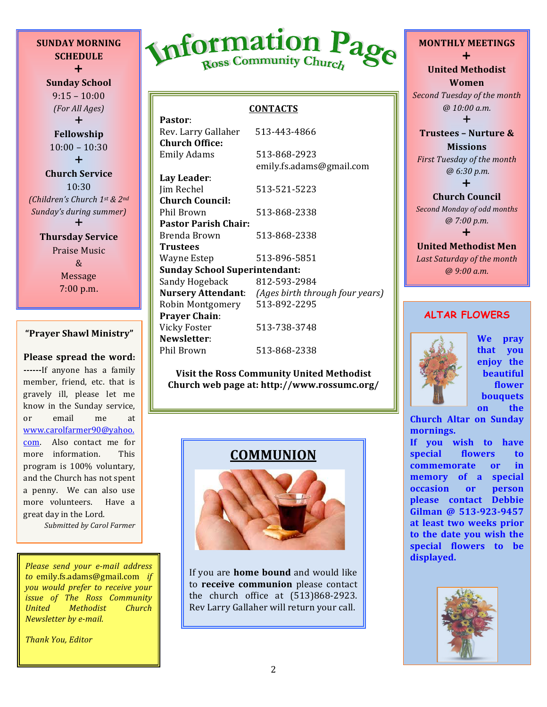**SCHEDULE**  $+$ **Sunday School**  $9:15 - 10:00$ *(For All Ages)*  $+$ **Fellowship**  $10:00 - 10:30$  $+$ **Church Service** 10:30 *(Children's Church 1st & 2nd Sunday's during summer* 

**SUNDAY MORNING**

 $\div$ **Thursday Service** Praise Music & Message 7:00 p.m.

#### **"Prayer Shawl Ministry"**

**Please spread the word: ------**If anyone has a family member, friend, etc. that is gravely ill, please let me know in the Sunday service, or email me at www.carolfarmer90@yahoo. com. Also contact me for more information. This program is 100% voluntary, and the Church has not spent a penny. We can also use more volunteers. Have a great day in the Lord.

*Submitted by Carol Farmer*

*Please send your e-mail address to* emily.fs.adams@gmail.com *if you would prefer to receive your issue* of *The Ross Community United Methodist Church Newsletter by e-mail.* 

*Thank You, Editor*



#### **CONTACTS**

| Pastor:                              |                                                           |
|--------------------------------------|-----------------------------------------------------------|
| Rev. Larry Gallaher                  | 513-443-4866                                              |
| <b>Church Office:</b>                |                                                           |
| Emily Adams                          | 513-868-2923                                              |
|                                      | emily.fs.adams@gmail.com                                  |
| Lay Leader:                          |                                                           |
| Jim Rechel                           | 513-521-5223                                              |
| <b>Church Council:</b>               |                                                           |
| Phil Brown                           | 513-868-2338                                              |
| <b>Pastor Parish Chair:</b>          |                                                           |
| Brenda Brown                         | 513-868-2338                                              |
| Trustees                             |                                                           |
| Wayne Estep                          | 513-896-5851                                              |
| <b>Sunday School Superintendant:</b> |                                                           |
| Sandy Hogeback                       | 812-593-2984                                              |
|                                      | <b>Nursery Attendant:</b> (Ages birth through four years) |
| Robin Montgomery                     | 513-892-2295                                              |
| <b>Prayer Chain:</b>                 |                                                           |
| Vicky Foster                         | 513-738-3748                                              |
| Newsletter:                          |                                                           |
| Phil Brown                           | 513-868-2338                                              |

**Visit the Ross Community United Methodist Church web page at: http://www.rossumc.org/**

#### **COMMUNION**



If you are **home bound** and would like to **receive communion** please contact the church office at  $(513)868-2923$ . Rev Larry Gallaher will return your call.

#### **MONTHLY MEETINGS**  $\ddagger$ **United Methodist Women**

**Second Tuesday of the month** *@ 10:00 a.m.*

 $\ddagger$ 

**Trustees - Nurture & Missions**

*First Tuesday of the month @ 6:30 p.m.*  $\ddagger$ 

**Church Council Second Monday of odd months** *@ 7:00 p.m.*

#### $\ddot{}$ **United Methodist Men** Last Saturday of the month *@ 9:00 a.m.*

#### **ALTAR FLOWERS**



**We pray that you enjoy** the **beautiful flower bouquets on** the

**Church Altar on Sunday mornings.**

If you wish to have special flowers to **commemorate** or in **memory** of a special **occasion** or **person please contact Debbie**  Gilman @ 513-923-9457 at least two weeks prior to the date you wish the **special flowers to be displayed.**

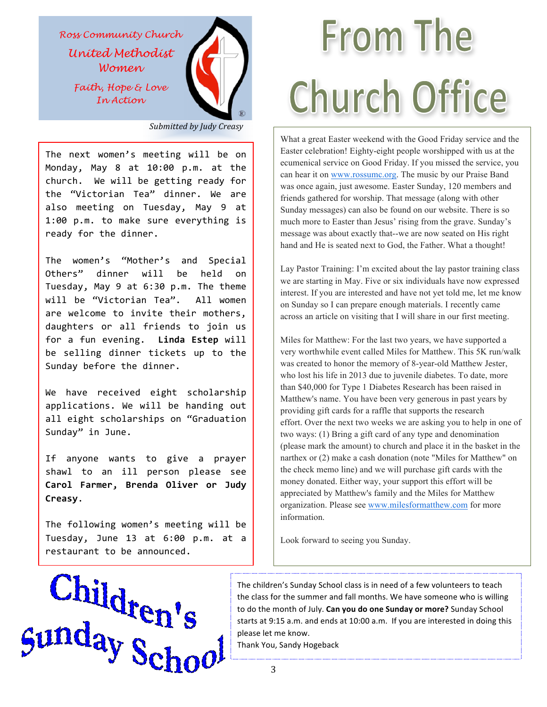*Ross Community Church United Methodist*

*Women*

*Faith, Hope & Love In Action*



*Submitted by Judy Creasy*

The next women's meeting will be on Monday, May 8 at 10:00 p.m. at the church. We will be getting ready for the "Victorian Tea" dinner. We are also meeting on Tuesday, May 9 at 1:00 p.m. to make sure everything is ready for the dinner.

The women's "Mother's and Special Others" dinner will be held on Tuesday, May 9 at 6:30 p.m. The theme will be "Victorian Tea". All women are welcome to invite their mothers, daughters or all friends to join us for a fun evening. Linda Estep will be selling dinner tickets up to the Sunday before the dinner.

We have received eight scholarship applications. We will be handing out all eight scholarships on "Graduation Sunday" in June.

If anyone wants to give a prayer shawl to an ill person please see **Carol Farmer, Brenda Oliver or Judy Creasy**.

The following women's meeting will be Tuesday, June 13 at 6:00 p.m. at a restaurant to be announced.

# **From The Church Office**

What a great Easter weekend with the Good Friday service and the Easter celebration! Eighty-eight people worshipped with us at the ecumenical service on Good Friday. If you missed the service, you can hear it on www.rossumc.org. The music by our Praise Band was once again, just awesome. Easter Sunday, 120 members and friends gathered for worship. That message (along with other Sunday messages) can also be found on our website. There is so much more to Easter than Jesus' rising from the grave. Sunday's message was about exactly that--we are now seated on His right hand and He is seated next to God, the Father. What a thought!

Lay Pastor Training: I'm excited about the lay pastor training class we are starting in May. Five or six individuals have now expressed interest. If you are interested and have not yet told me, let me know on Sunday so I can prepare enough materials. I recently came across an article on visiting that I will share in our first meeting.

Miles for Matthew: For the last two years, we have supported a very worthwhile event called Miles for Matthew. This 5K run/walk was created to honor the memory of 8-year-old Matthew Jester, who lost his life in 2013 due to juvenile diabetes. To date, more than \$40,000 for Type 1 Diabetes Research has been raised in Matthew's name. You have been very generous in past years by providing gift cards for a raffle that supports the research effort. Over the next two weeks we are asking you to help in one of two ways: (1) Bring a gift card of any type and denomination (please mark the amount) to church and place it in the basket in the narthex or (2) make a cash donation (note "Miles for Matthew" on the check memo line) and we will purchase gift cards with the money donated. Either way, your support this effort will be appreciated by Matthew's family and the Miles for Matthew organization. Please see www.milesformatthew.com for more information.

Look forward to seeing you Sunday.



The children's Sunday School class is in need of a few volunteers to teach the class for the summer and fall months. We have someone who is willing to do the month of July. Can you do one Sunday or more? Sunday School starts at 9:15 a.m. and ends at 10:00 a.m. If you are interested in doing this please let me know.

Thank You, Sandy Hogeback